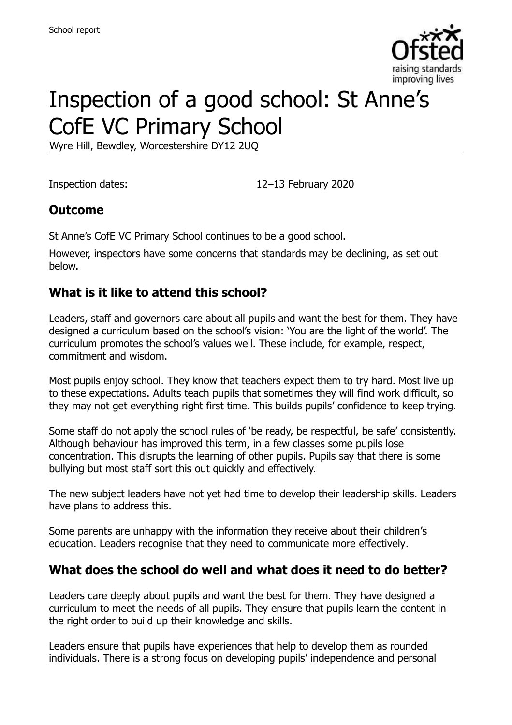

# Inspection of a good school: St Anne's CofE VC Primary School

Wyre Hill, Bewdley, Worcestershire DY12 2UQ

Inspection dates: 12–13 February 2020

#### **Outcome**

St Anne's CofE VC Primary School continues to be a good school.

However, inspectors have some concerns that standards may be declining, as set out below.

#### **What is it like to attend this school?**

Leaders, staff and governors care about all pupils and want the best for them. They have designed a curriculum based on the school's vision: 'You are the light of the world'. The curriculum promotes the school's values well. These include, for example, respect, commitment and wisdom.

Most pupils enjoy school. They know that teachers expect them to try hard. Most live up to these expectations. Adults teach pupils that sometimes they will find work difficult, so they may not get everything right first time. This builds pupils' confidence to keep trying.

Some staff do not apply the school rules of 'be ready, be respectful, be safe' consistently. Although behaviour has improved this term, in a few classes some pupils lose concentration. This disrupts the learning of other pupils. Pupils say that there is some bullying but most staff sort this out quickly and effectively.

The new subject leaders have not yet had time to develop their leadership skills. Leaders have plans to address this.

Some parents are unhappy with the information they receive about their children's education. Leaders recognise that they need to communicate more effectively.

#### **What does the school do well and what does it need to do better?**

Leaders care deeply about pupils and want the best for them. They have designed a curriculum to meet the needs of all pupils. They ensure that pupils learn the content in the right order to build up their knowledge and skills.

Leaders ensure that pupils have experiences that help to develop them as rounded individuals. There is a strong focus on developing pupils' independence and personal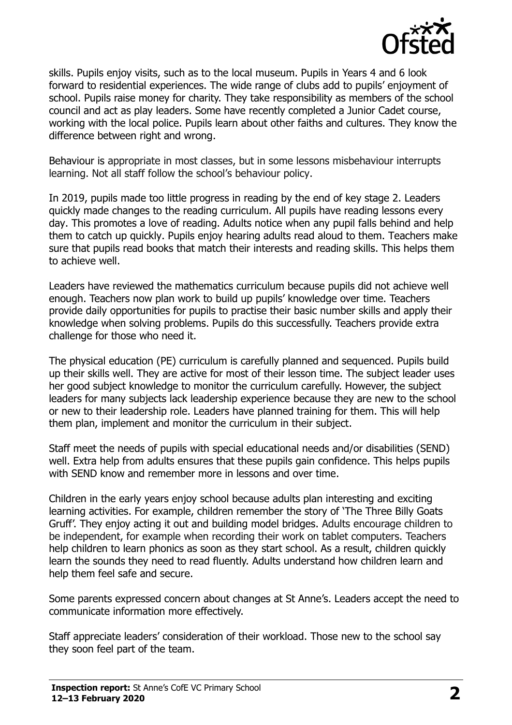

skills. Pupils enjoy visits, such as to the local museum. Pupils in Years 4 and 6 look forward to residential experiences. The wide range of clubs add to pupils' enjoyment of school. Pupils raise money for charity. They take responsibility as members of the school council and act as play leaders. Some have recently completed a Junior Cadet course, working with the local police. Pupils learn about other faiths and cultures. They know the difference between right and wrong.

Behaviour is appropriate in most classes, but in some lessons misbehaviour interrupts learning. Not all staff follow the school's behaviour policy.

In 2019, pupils made too little progress in reading by the end of key stage 2. Leaders quickly made changes to the reading curriculum. All pupils have reading lessons every day. This promotes a love of reading. Adults notice when any pupil falls behind and help them to catch up quickly. Pupils enjoy hearing adults read aloud to them. Teachers make sure that pupils read books that match their interests and reading skills. This helps them to achieve well.

Leaders have reviewed the mathematics curriculum because pupils did not achieve well enough. Teachers now plan work to build up pupils' knowledge over time. Teachers provide daily opportunities for pupils to practise their basic number skills and apply their knowledge when solving problems. Pupils do this successfully. Teachers provide extra challenge for those who need it.

The physical education (PE) curriculum is carefully planned and sequenced. Pupils build up their skills well. They are active for most of their lesson time. The subject leader uses her good subject knowledge to monitor the curriculum carefully. However, the subject leaders for many subjects lack leadership experience because they are new to the school or new to their leadership role. Leaders have planned training for them. This will help them plan, implement and monitor the curriculum in their subject.

Staff meet the needs of pupils with special educational needs and/or disabilities (SEND) well. Extra help from adults ensures that these pupils gain confidence. This helps pupils with SEND know and remember more in lessons and over time.

Children in the early years enjoy school because adults plan interesting and exciting learning activities. For example, children remember the story of 'The Three Billy Goats Gruff'. They enjoy acting it out and building model bridges. Adults encourage children to be independent, for example when recording their work on tablet computers. Teachers help children to learn phonics as soon as they start school. As a result, children quickly learn the sounds they need to read fluently. Adults understand how children learn and help them feel safe and secure.

Some parents expressed concern about changes at St Anne's. Leaders accept the need to communicate information more effectively.

Staff appreciate leaders' consideration of their workload. Those new to the school say they soon feel part of the team.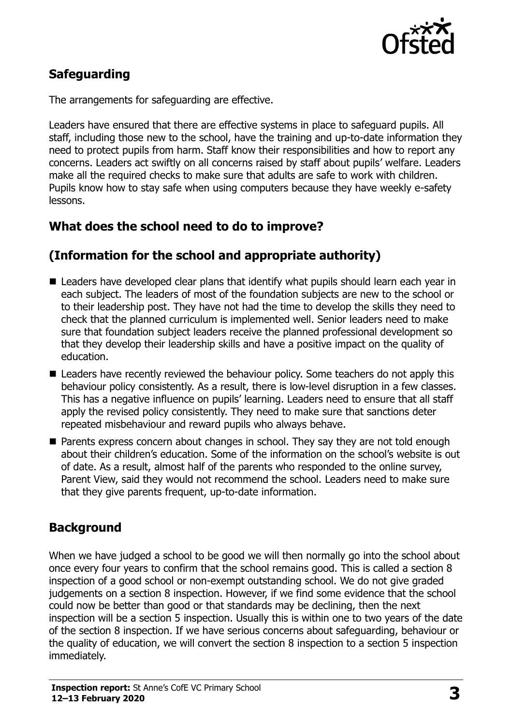

# **Safeguarding**

The arrangements for safeguarding are effective.

Leaders have ensured that there are effective systems in place to safeguard pupils. All staff, including those new to the school, have the training and up-to-date information they need to protect pupils from harm. Staff know their responsibilities and how to report any concerns. Leaders act swiftly on all concerns raised by staff about pupils' welfare. Leaders make all the required checks to make sure that adults are safe to work with children. Pupils know how to stay safe when using computers because they have weekly e-safety lessons.

# **What does the school need to do to improve?**

#### **(Information for the school and appropriate authority)**

- Leaders have developed clear plans that identify what pupils should learn each year in each subject. The leaders of most of the foundation subjects are new to the school or to their leadership post. They have not had the time to develop the skills they need to check that the planned curriculum is implemented well. Senior leaders need to make sure that foundation subject leaders receive the planned professional development so that they develop their leadership skills and have a positive impact on the quality of education.
- Leaders have recently reviewed the behaviour policy. Some teachers do not apply this behaviour policy consistently. As a result, there is low-level disruption in a few classes. This has a negative influence on pupils' learning. Leaders need to ensure that all staff apply the revised policy consistently. They need to make sure that sanctions deter repeated misbehaviour and reward pupils who always behave.
- **Parents express concern about changes in school. They say they are not told enough** about their children's education. Some of the information on the school's website is out of date. As a result, almost half of the parents who responded to the online survey, Parent View, said they would not recommend the school. Leaders need to make sure that they give parents frequent, up-to-date information.

# **Background**

When we have judged a school to be good we will then normally go into the school about once every four years to confirm that the school remains good. This is called a section 8 inspection of a good school or non-exempt outstanding school. We do not give graded judgements on a section 8 inspection. However, if we find some evidence that the school could now be better than good or that standards may be declining, then the next inspection will be a section 5 inspection. Usually this is within one to two years of the date of the section 8 inspection. If we have serious concerns about safeguarding, behaviour or the quality of education, we will convert the section 8 inspection to a section 5 inspection immediately.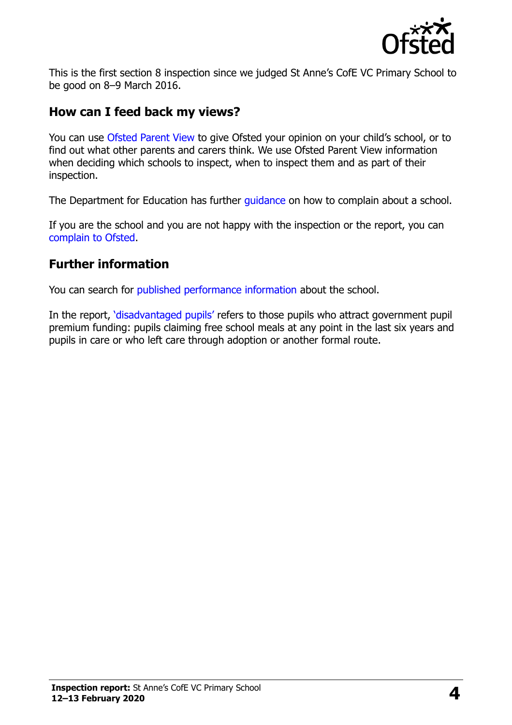

This is the first section 8 inspection since we judged St Anne's CofE VC Primary School to be good on 8–9 March 2016.

#### **How can I feed back my views?**

You can use [Ofsted Parent View](https://parentview.ofsted.gov.uk/) to give Ofsted your opinion on your child's school, or to find out what other parents and carers think. We use Ofsted Parent View information when deciding which schools to inspect, when to inspect them and as part of their inspection.

The Department for Education has further quidance on how to complain about a school.

If you are the school and you are not happy with the inspection or the report, you can [complain to Ofsted.](https://www.gov.uk/complain-ofsted-report)

#### **Further information**

You can search for [published performance information](http://www.compare-school-performance.service.gov.uk/) about the school.

In the report, '[disadvantaged pupils](http://www.gov.uk/guidance/pupil-premium-information-for-schools-and-alternative-provision-settings)' refers to those pupils who attract government pupil premium funding: pupils claiming free school meals at any point in the last six years and pupils in care or who left care through adoption or another formal route.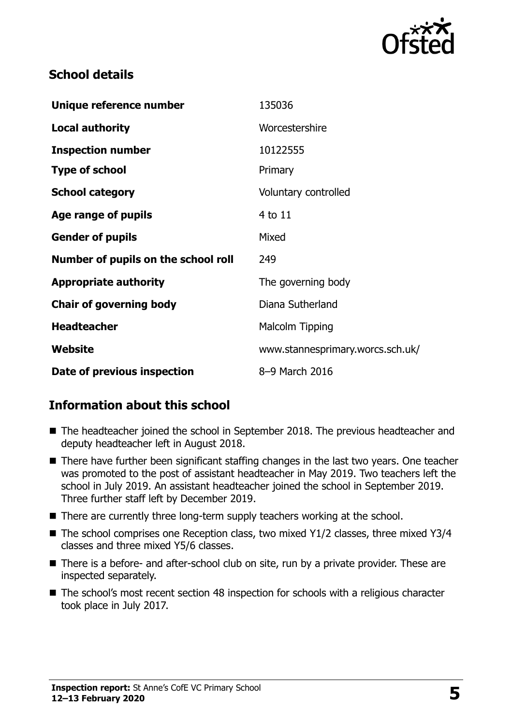

#### **School details**

| Unique reference number             | 135036                           |
|-------------------------------------|----------------------------------|
| <b>Local authority</b>              | Worcestershire                   |
| <b>Inspection number</b>            | 10122555                         |
| <b>Type of school</b>               | Primary                          |
| <b>School category</b>              | Voluntary controlled             |
| Age range of pupils                 | 4 to 11                          |
| <b>Gender of pupils</b>             | Mixed                            |
| Number of pupils on the school roll | 249                              |
| <b>Appropriate authority</b>        | The governing body               |
| <b>Chair of governing body</b>      | Diana Sutherland                 |
| <b>Headteacher</b>                  | <b>Malcolm Tipping</b>           |
| Website                             | www.stannesprimary.worcs.sch.uk/ |
| Date of previous inspection         | 8-9 March 2016                   |

# **Information about this school**

- The headteacher joined the school in September 2018. The previous headteacher and deputy headteacher left in August 2018.
- There have further been significant staffing changes in the last two years. One teacher was promoted to the post of assistant headteacher in May 2019. Two teachers left the school in July 2019. An assistant headteacher joined the school in September 2019. Three further staff left by December 2019.
- There are currently three long-term supply teachers working at the school.
- The school comprises one Reception class, two mixed Y1/2 classes, three mixed Y3/4 classes and three mixed Y5/6 classes.
- There is a before- and after-school club on site, run by a private provider. These are inspected separately.
- The school's most recent section 48 inspection for schools with a religious character took place in July 2017.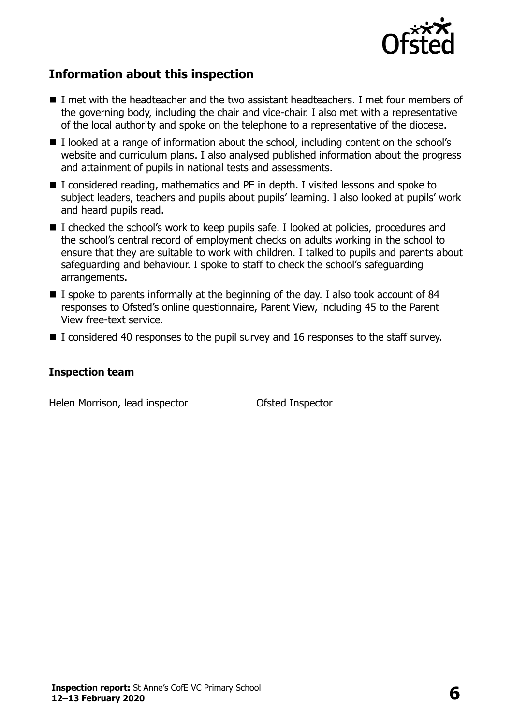

# **Information about this inspection**

- I met with the headteacher and the two assistant headteachers. I met four members of the governing body, including the chair and vice-chair. I also met with a representative of the local authority and spoke on the telephone to a representative of the diocese.
- I looked at a range of information about the school, including content on the school's website and curriculum plans. I also analysed published information about the progress and attainment of pupils in national tests and assessments.
- I considered reading, mathematics and PE in depth. I visited lessons and spoke to subject leaders, teachers and pupils about pupils' learning. I also looked at pupils' work and heard pupils read.
- I checked the school's work to keep pupils safe. I looked at policies, procedures and the school's central record of employment checks on adults working in the school to ensure that they are suitable to work with children. I talked to pupils and parents about safeguarding and behaviour. I spoke to staff to check the school's safeguarding arrangements.
- $\blacksquare$  I spoke to parents informally at the beginning of the day. I also took account of 84 responses to Ofsted's online questionnaire, Parent View, including 45 to the Parent View free-text service.
- I considered 40 responses to the pupil survey and 16 responses to the staff survey.

#### **Inspection team**

Helen Morrison, lead inspector **Ofsted Inspector**